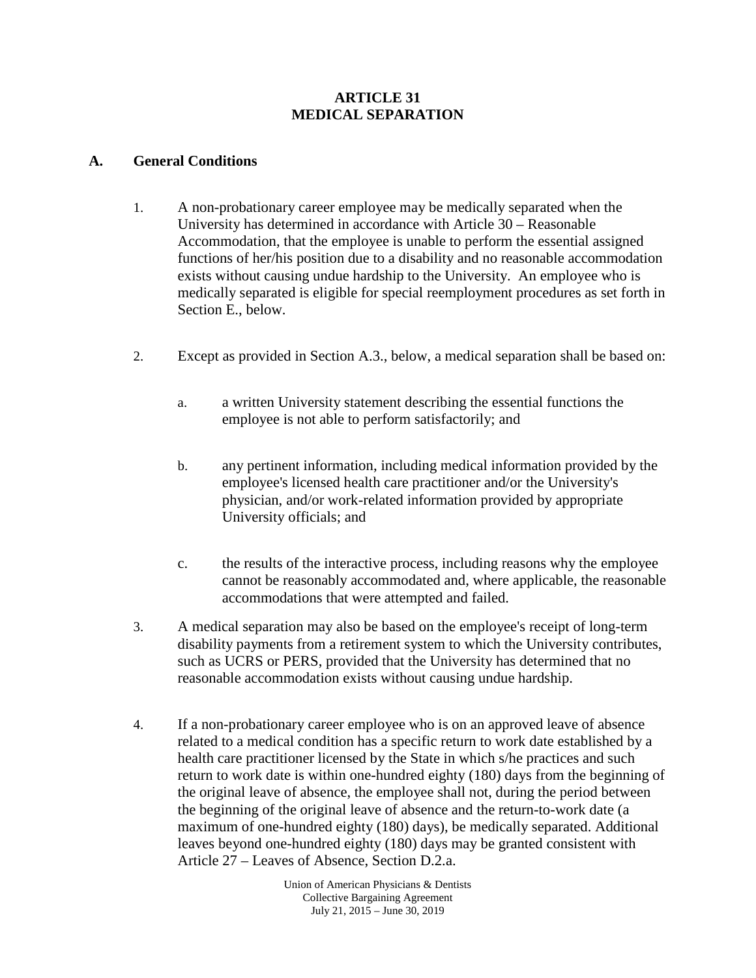### **ARTICLE 31 MEDICAL SEPARATION**

#### **A. General Conditions**

- 1. A non-probationary career employee may be medically separated when the University has determined in accordance with Article 30 – Reasonable Accommodation, that the employee is unable to perform the essential assigned functions of her/his position due to a disability and no reasonable accommodation exists without causing undue hardship to the University. An employee who is medically separated is eligible for special reemployment procedures as set forth in Section E., below.
- 2. Except as provided in Section A.3., below, a medical separation shall be based on:
	- a. a written University statement describing the essential functions the employee is not able to perform satisfactorily; and
	- b. any pertinent information, including medical information provided by the employee's licensed health care practitioner and/or the University's physician, and/or work-related information provided by appropriate University officials; and
	- c. the results of the interactive process, including reasons why the employee cannot be reasonably accommodated and, where applicable, the reasonable accommodations that were attempted and failed.
- 3. A medical separation may also be based on the employee's receipt of long-term disability payments from a retirement system to which the University contributes, such as UCRS or PERS, provided that the University has determined that no reasonable accommodation exists without causing undue hardship.
- 4. If a non-probationary career employee who is on an approved leave of absence related to a medical condition has a specific return to work date established by a health care practitioner licensed by the State in which s/he practices and such return to work date is within one-hundred eighty (180) days from the beginning of the original leave of absence, the employee shall not, during the period between the beginning of the original leave of absence and the return-to-work date (a maximum of one-hundred eighty (180) days), be medically separated. Additional leaves beyond one-hundred eighty (180) days may be granted consistent with Article 27 – Leaves of Absence, Section D.2.a.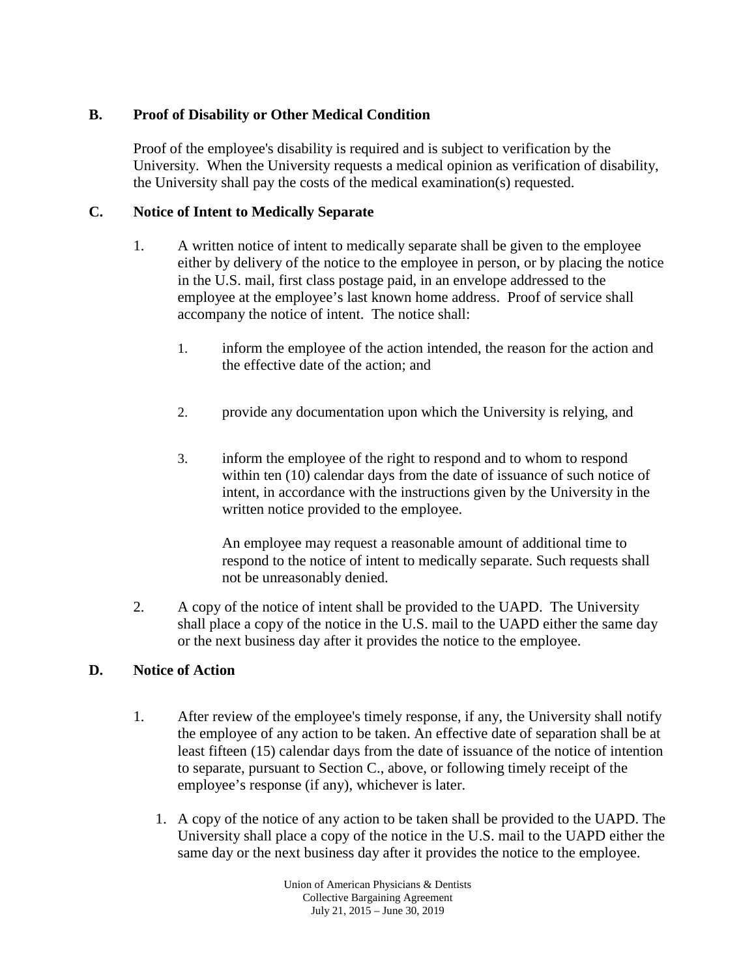## **B. Proof of Disability or Other Medical Condition**

Proof of the employee's disability is required and is subject to verification by the University. When the University requests a medical opinion as verification of disability, the University shall pay the costs of the medical examination(s) requested.

## **C. Notice of Intent to Medically Separate**

- 1. A written notice of intent to medically separate shall be given to the employee either by delivery of the notice to the employee in person, or by placing the notice in the U.S. mail, first class postage paid, in an envelope addressed to the employee at the employee's last known home address. Proof of service shall accompany the notice of intent. The notice shall:
	- 1. inform the employee of the action intended, the reason for the action and the effective date of the action; and
	- 2. provide any documentation upon which the University is relying, and
	- 3. inform the employee of the right to respond and to whom to respond within ten (10) calendar days from the date of issuance of such notice of intent, in accordance with the instructions given by the University in the written notice provided to the employee.

An employee may request a reasonable amount of additional time to respond to the notice of intent to medically separate. Such requests shall not be unreasonably denied.

2. A copy of the notice of intent shall be provided to the UAPD. The University shall place a copy of the notice in the U.S. mail to the UAPD either the same day or the next business day after it provides the notice to the employee.

# **D. Notice of Action**

- 1. After review of the employee's timely response, if any, the University shall notify the employee of any action to be taken. An effective date of separation shall be at least fifteen (15) calendar days from the date of issuance of the notice of intention to separate, pursuant to Section C., above, or following timely receipt of the employee's response (if any), whichever is later.
	- 1. A copy of the notice of any action to be taken shall be provided to the UAPD. The University shall place a copy of the notice in the U.S. mail to the UAPD either the same day or the next business day after it provides the notice to the employee.